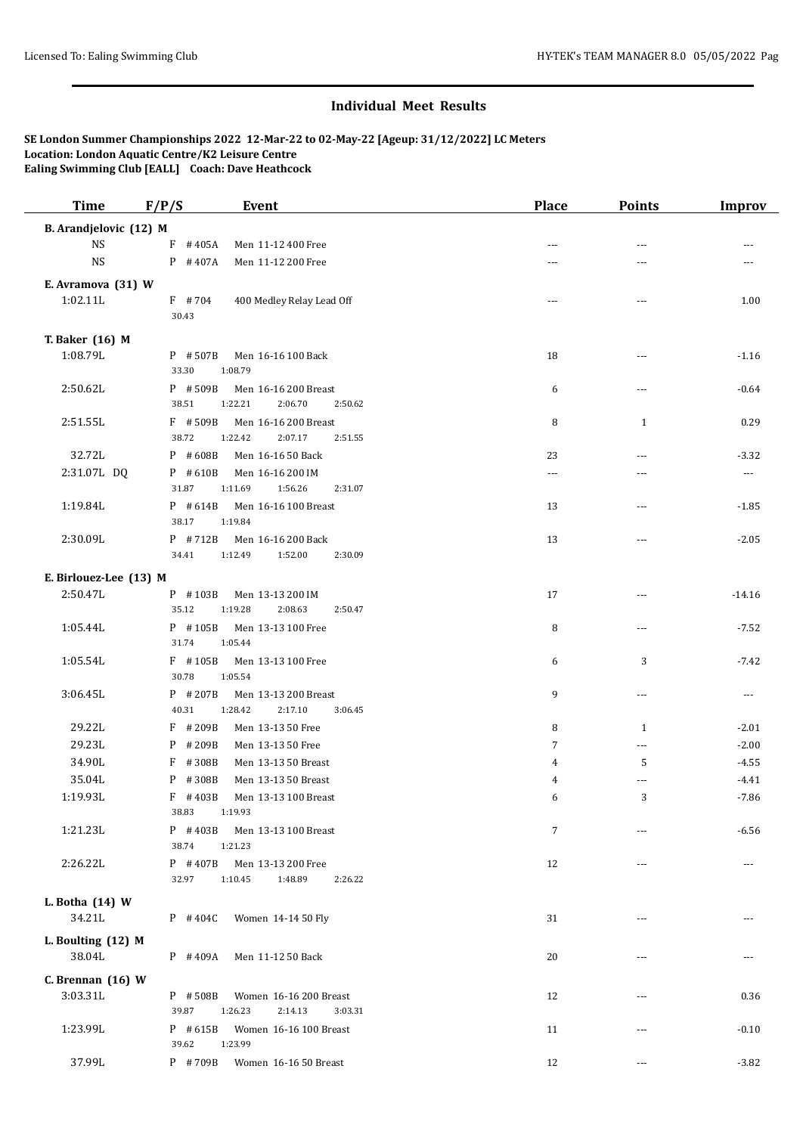| <b>Time</b>               | F/P/S               | <b>Event</b>                                      | Place          | <b>Points</b>  | <b>Improv</b>        |
|---------------------------|---------------------|---------------------------------------------------|----------------|----------------|----------------------|
| B. Arandjelovic (12) M    |                     |                                                   |                |                |                      |
| <b>NS</b>                 | $F$ #405A           | Men 11-12 400 Free                                | $\sim$ $\sim$  | $\sim$ $\sim$  |                      |
| <b>NS</b>                 | $P$ # 407A          | Men 11-12 200 Free                                | ---            | ---            |                      |
| E. Avramova (31) W        |                     |                                                   |                |                |                      |
| 1:02.11L                  | $F$ #704            | 400 Medley Relay Lead Off                         | ---            | ---            | 1.00                 |
|                           | 30.43               |                                                   |                |                |                      |
| T. Baker (16) M           |                     |                                                   |                |                |                      |
| 1:08.79L                  | $P$ # 507B          | Men 16-16 100 Back                                | 18             | ---            | $-1.16$              |
|                           | 33.30               | 1:08.79                                           |                |                |                      |
| 2:50.62L                  | P #509B             | Men 16-16 200 Breast                              | 6              | $\overline{a}$ | $-0.64$              |
|                           | 38.51               | 1:22.21<br>2:06.70<br>2:50.62                     |                |                |                      |
| 2:51.55L                  | $F$ #509B           | Men 16-16 200 Breast                              | 8              | $\mathbf{1}$   | 0.29                 |
|                           | 38.72               | 1:22.42<br>2:07.17<br>2:51.55                     |                |                |                      |
| 32.72L                    | P #608B             | Men 16-16 50 Back                                 | 23             | $---$          | $-3.32$              |
| 2:31.07L DQ               | $P$ #610B<br>31.87  | Men 16-16 200 IM<br>1:11.69<br>1:56.26<br>2:31.07 | ---            | ---            | $\sim$ $\sim$ $\sim$ |
| 1:19.84L                  | $P$ # 614B          | Men 16-16 100 Breast                              |                |                |                      |
|                           | 38.17               | 1:19.84                                           | 13             | ---            | $-1.85$              |
| 2:30.09L                  | $P$ #712B           | Men 16-16 200 Back                                | 13             | ---            | $-2.05$              |
|                           | 34.41               | 1:12.49<br>1:52.00<br>2:30.09                     |                |                |                      |
| E. Birlouez-Lee (13) M    |                     |                                                   |                |                |                      |
| 2:50.47L                  | P #103B             | Men 13-13 200 IM                                  | 17             | ---            | $-14.16$             |
|                           | 35.12               | 1:19.28<br>2:08.63<br>2:50.47                     |                |                |                      |
| 1:05.44L                  | P #105B             | Men 13-13 100 Free                                | 8              | ---            | $-7.52$              |
|                           | 31.74               | 1:05.44                                           |                |                |                      |
| 1:05.54L                  | F #105B             | Men 13-13 100 Free                                | 6              | 3              | $-7.42$              |
|                           | 30.78               | 1:05.54                                           |                |                |                      |
| 3:06.45L                  | $P$ # 207B          | Men 13-13 200 Breast                              | 9              | ---            | $\cdots$             |
|                           | 40.31               | 2:17.10<br>1:28.42<br>3:06.45                     |                |                |                      |
| 29.22L                    | F #209B             | Men 13-13 50 Free                                 | 8              | $\mathbf{1}$   | $-2.01$              |
| 29.23L                    | $P$ # 209B          | Men 13-13 50 Free                                 | $\overline{7}$ | $\overline{a}$ | $-2.00$              |
| 34.90L                    | F #308B             | Men 13-13 50 Breast                               | 4              | 5              | $-4.55$              |
| 35.04L                    | P #308B             | Men 13-13 50 Breast                               | 4              | ---            | $-4.41$              |
| 1:19.93L                  | $F$ #403B           | Men 13-13 100 Breast                              | 6              | 3              | -7.86                |
|                           | 38.83               | 1:19.93                                           |                |                |                      |
| $1:21.23\,$               | $P$ # 403B<br>38.74 | Men 13-13 100 Breast<br>1:21.23                   | 7              | ---            | $-6.56$              |
| 2:26.22L                  | $P$ # 407B          | Men 13-13 200 Free                                | 12             | ---            | ---                  |
|                           | 32.97               | 1:10.45<br>1:48.89<br>2:26.22                     |                |                |                      |
|                           |                     |                                                   |                |                |                      |
| L. Botha (14) W<br>34.21L | $P$ #404C           | Women 14-14 50 Fly                                | 31             | $---$          |                      |
|                           |                     |                                                   |                |                |                      |
| L. Boulting (12) M        |                     |                                                   |                |                |                      |
| 38.04L                    | $P$ #409A           | Men 11-12 50 Back                                 | 20             | ---            |                      |
| C. Brennan $(16)$ W       |                     |                                                   |                |                |                      |
| 3:03.31L                  | P #508B             | Women 16-16 200 Breast                            | 12             | ---            | 0.36                 |
|                           | 39.87               | 1:26.23<br>2:14.13<br>3:03.31                     |                |                |                      |
| 1:23.99L                  | $P$ #615B           | Women 16-16 100 Breast                            | 11             | ---            | $-0.10$              |
|                           | 39.62               | 1:23.99                                           |                |                |                      |
| 37.99L                    | P #709B             | Women 16-16 50 Breast                             | 12             | ---            | $-3.82$              |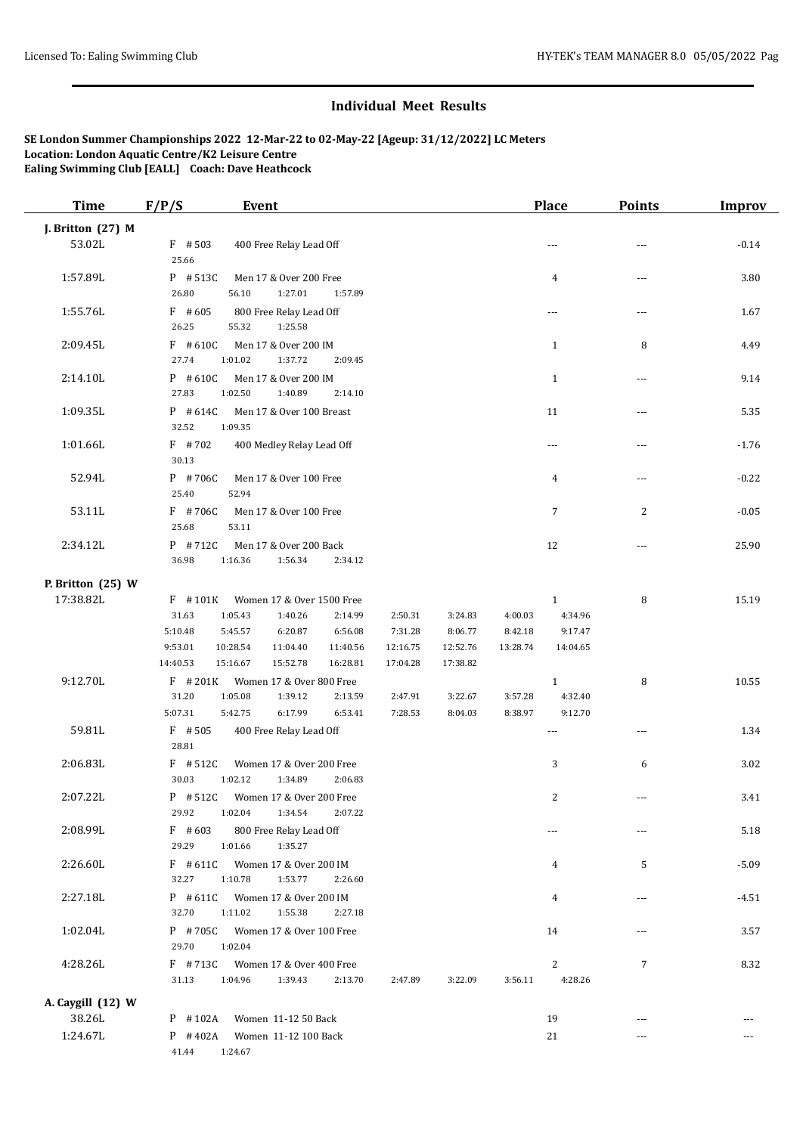| <b>Time</b>       | F/P/S<br>Event                                                                                                                              | Place                                | <b>Points</b>  | <b>Improv</b> |
|-------------------|---------------------------------------------------------------------------------------------------------------------------------------------|--------------------------------------|----------------|---------------|
| J. Britton (27) M |                                                                                                                                             |                                      |                |               |
| 53.02L            | $F$ #503<br>400 Free Relay Lead Off<br>25.66                                                                                                | $\sim$ $\sim$                        | $---$          | $-0.14$       |
| 1:57.89L          | P #513C<br>Men 17 & Over 200 Free<br>26.80<br>1:27.01<br>56.10<br>1:57.89                                                                   | 4                                    | $\overline{a}$ | 3.80          |
| 1:55.76L          | $F$ #605<br>800 Free Relay Lead Off<br>26.25<br>55.32<br>1:25.58                                                                            | $\sim$ $\sim$                        | $\overline{a}$ | 1.67          |
| 2:09.45L          | $F$ #610C<br>Men 17 & Over 200 IM<br>27.74<br>1:01.02<br>1:37.72<br>2:09.45                                                                 | $\mathbf{1}$                         | 8              | 4.49          |
| 2:14.10L          | $P$ #610C<br>Men 17 & Over 200 IM<br>27.83<br>1:02.50<br>1:40.89<br>2:14.10                                                                 | $\mathbf{1}$                         | $\overline{a}$ | 9.14          |
| 1:09.35L          | $P$ # 614C<br>Men 17 & Over 100 Breast<br>32.52<br>1:09.35                                                                                  | 11                                   | $\overline{a}$ | 5.35          |
| 1:01.66L          | $F$ #702<br>400 Medley Relay Lead Off<br>30.13                                                                                              | $\sim$ $\sim$                        | $---$          | $-1.76$       |
| 52.94L            | P #706C<br>Men 17 & Over 100 Free<br>25.40<br>52.94                                                                                         | $\overline{4}$                       | $\overline{a}$ | $-0.22$       |
| 53.11L            | F #706C<br>Men 17 & Over 100 Free<br>25.68<br>53.11                                                                                         | $\overline{7}$                       | $\overline{c}$ | $-0.05$       |
| 2:34.12L          | P #712C<br>Men 17 & Over 200 Back<br>36.98<br>1:16.36<br>1:56.34<br>2:34.12                                                                 | 12                                   | $\overline{a}$ | 25.90         |
| P. Britton (25) W |                                                                                                                                             |                                      |                |               |
| 17:38.82L         | $F$ #101K<br>Women 17 & Over 1500 Free                                                                                                      | $\mathbf{1}$                         | 8              | 15.19         |
|                   | 31.63<br>1:05.43<br>1:40.26<br>2:14.99<br>2:50.31<br>3:24.83                                                                                | 4:00.03<br>4:34.96                   |                |               |
|                   | 5:10.48<br>5:45.57<br>6:20.87<br>6:56.08<br>7:31.28<br>8:06.77                                                                              | 8:42.18<br>9:17.47                   |                |               |
|                   | 9:53.01<br>10:28.54<br>11:04.40<br>11:40.56<br>12:16.75<br>12:52.76<br>14:40.53<br>15:16.67<br>15:52.78<br>16:28.81<br>17:04.28<br>17:38.82 | 13:28.74<br>14:04.65                 |                |               |
| 9:12.70L          | $F$ # 201K<br>Women 17 & Over 800 Free                                                                                                      | $\mathbf{1}$                         | 8              | 10.55         |
|                   | 31.20<br>1:05.08<br>1:39.12<br>2:13.59<br>2:47.91<br>3:22.67                                                                                | 3:57.28<br>4:32.40                   |                |               |
|                   | 5:07.31<br>5:42.75<br>6:17.99<br>6:53.41<br>7:28.53<br>8:04.03                                                                              | 8:38.97<br>9:12.70                   |                |               |
| 59.81L            | $F$ #505<br>400 Free Relay Lead Off<br>28.81                                                                                                | ---                                  | ---            | 1.34          |
| 2:06.83L          | $F$ #512C<br>Women 17 & Over 200 Free<br>30.03<br>1:02.12<br>1:34.89<br>2:06.83                                                             | 3                                    | 6              | 3.02          |
| 2:07.22L          | P #512C<br>Women 17 & Over 200 Free<br>29.92<br>1:02.04<br>1:34.54<br>2:07.22                                                               | 2                                    |                | 3.41          |
| 2:08.99L          | $F$ #603<br>800 Free Relay Lead Off<br>29.29<br>1:01.66<br>1:35.27                                                                          | ---                                  | ---            | 5.18          |
| 2:26.60L          | $F$ # 611C<br>Women 17 & Over 200 IM<br>32.27<br>1:10.78<br>1:53.77<br>2:26.60                                                              | 4                                    | 5              | $-5.09$       |
| 2:27.18L          | $P$ # 611C<br>Women 17 & Over 200 IM<br>32.70<br>1:11.02<br>1:55.38<br>2:27.18                                                              | 4                                    | $---$          | $-4.51$       |
| 1:02.04L          | P #705C<br>Women 17 & Over 100 Free<br>29.70<br>1:02.04                                                                                     | 14                                   | ---            | 3.57          |
| 4:28.26L          | $F$ #713C<br>Women 17 & Over 400 Free<br>31.13<br>1:04.96<br>1:39.43<br>2:13.70<br>2:47.89<br>3:22.09                                       | $\overline{c}$<br>3:56.11<br>4:28.26 | $\overline{7}$ | 8.32          |
| A. Caygill (12) W |                                                                                                                                             |                                      |                |               |
| 38.26L            | Women 11-12 50 Back<br>$P$ #102A                                                                                                            | 19                                   |                |               |
| 1:24.67L          | $P$ #402A<br>Women 11-12 100 Back                                                                                                           | 21                                   | ---            |               |
|                   | 41.44<br>1:24.67                                                                                                                            |                                      |                |               |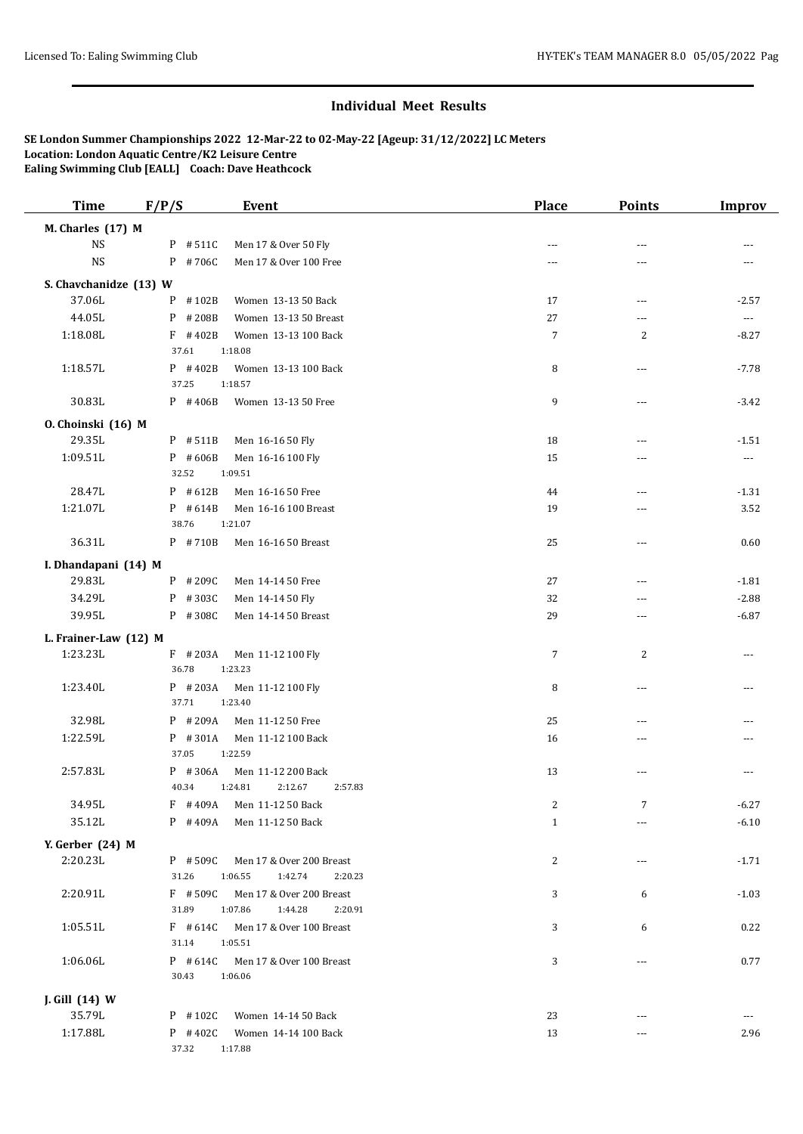| <b>Time</b>            | F/P/S<br>Event                                                                  | <b>Place</b>   | <b>Points</b>  | <b>Improv</b>  |
|------------------------|---------------------------------------------------------------------------------|----------------|----------------|----------------|
| M. Charles (17) M      |                                                                                 |                |                |                |
| <b>NS</b>              | P #511C<br>Men 17 & Over 50 Fly                                                 | $\overline{a}$ | $\sim$ $\sim$  |                |
| <b>NS</b>              | P #706C<br>Men 17 & Over 100 Free                                               | ---            | ---            |                |
| S. Chavchanidze (13) W |                                                                                 |                |                |                |
| 37.06L                 | #102B<br>Women 13-13 50 Back<br>P                                               | 17             | ---            | $-2.57$        |
| 44.05L                 | $P$ # 208B<br>Women 13-13 50 Breast                                             | 27             | $\overline{a}$ | $\cdots$       |
| 1:18.08L               | $F$ #402B<br>Women 13-13 100 Back                                               | 7              | 2              | $-8.27$        |
|                        | 37.61<br>1:18.08                                                                |                |                |                |
| 1:18.57L               | $P$ #402B<br>Women 13-13 100 Back<br>37.25<br>1:18.57                           | 8              | $---$          | $-7.78$        |
| 30.83L                 | P #406B<br>Women 13-13 50 Free                                                  | 9              | $\cdots$       | $-3.42$        |
| O. Choinski (16) M     |                                                                                 |                |                |                |
| 29.35L                 | P #511B<br>Men 16-16 50 Fly                                                     | 18             | $\overline{a}$ | $-1.51$        |
| 1:09.51L               | $P$ #606B<br>Men 16-16 100 Fly                                                  | 15             | ---            | $\cdots$       |
|                        | 32.52<br>1:09.51                                                                |                |                |                |
| 28.47L                 | $P$ # 612B<br>Men 16-16 50 Free                                                 | 44             | $\overline{a}$ | $-1.31$        |
| 1:21.07L               | $P$ # 614B<br>Men 16-16 100 Breast                                              | 19             | $\sim$ $\sim$  | 3.52           |
|                        | 38.76<br>1:21.07                                                                |                |                |                |
| 36.31L                 | P #710B<br>Men 16-16 50 Breast                                                  | 25             | ---            | 0.60           |
| I. Dhandapani (14) M   |                                                                                 |                |                |                |
| 29.83L                 | $P$ # 209C<br>Men 14-14 50 Free                                                 | 27             | $---$          | $-1.81$        |
| 34.29L                 | P #303C<br>Men 14-14 50 Fly                                                     | 32             | $\sim$ $\sim$  | $-2.88$        |
| 39.95L                 | $P$ # 308C<br>Men 14-14 50 Breast                                               | 29             | ---            | $-6.87$        |
| L. Frainer-Law (12) M  |                                                                                 |                |                |                |
| 1:23.23L               | $F$ #203A<br>Men 11-12 100 Fly                                                  | $\overline{7}$ | 2              | ---            |
|                        | 36.78<br>1:23.23                                                                |                |                |                |
| 1:23.40L               | $P$ # 203A<br>Men 11-12 100 Fly                                                 | 8              | $---$          | $---$          |
|                        | 37.71<br>1:23.40                                                                |                |                |                |
| 32.98L                 | $P$ # 209A<br>Men 11-12 50 Free                                                 | 25             | $---$          |                |
| 1:22.59L               | P #301A<br>Men 11-12 100 Back                                                   | 16             | $\overline{a}$ | ---            |
|                        | 37.05<br>1:22.59                                                                |                |                |                |
| 2:57.83L               | P #306A<br>Men 11-12 200 Back<br>2:57.83                                        | 13             | $---$          | $\overline{a}$ |
| 34.95L                 | 40.34<br>1:24.81<br>2:12.67                                                     |                |                |                |
| 35.12L                 | F #409A<br>Men 11-12 50 Back<br>P #409A                                         | 2              | 7              | -6.27          |
|                        | Men 11-12 50 Back                                                               | $\mathbf{1}$   | $\cdots$       | $-6.10$        |
| Y. Gerber (24) M       |                                                                                 |                |                |                |
| 2:20.23L               | $P$ # 509C<br>Men 17 & Over 200 Breast                                          | 2              | ---            | $-1.71$        |
|                        | 31.26<br>1:06.55<br>1:42.74<br>2:20.23                                          |                |                |                |
| 2:20.91L               | $F$ #509C<br>Men 17 & Over 200 Breast<br>31.89<br>1:07.86<br>1:44.28<br>2:20.91 | 3              | 6              | $-1.03$        |
| 1:05.51L               | $F$ #614C<br>Men 17 & Over 100 Breast                                           | 3              | 6              | 0.22           |
|                        | 31.14<br>1:05.51                                                                |                |                |                |
| 1:06.06L               | $P$ # 614C<br>Men 17 & Over 100 Breast                                          | 3              | ---            | 0.77           |
|                        | 30.43<br>1:06.06                                                                |                |                |                |
| J. Gill (14) W         |                                                                                 |                |                |                |
| 35.79L                 | $P$ #102C<br>Women 14-14 50 Back                                                | 23             |                |                |
| 1:17.88L               | $P$ #402C<br>Women 14-14 100 Back                                               | 13             | $\cdots$       | 2.96           |
|                        | 37.32<br>1:17.88                                                                |                |                |                |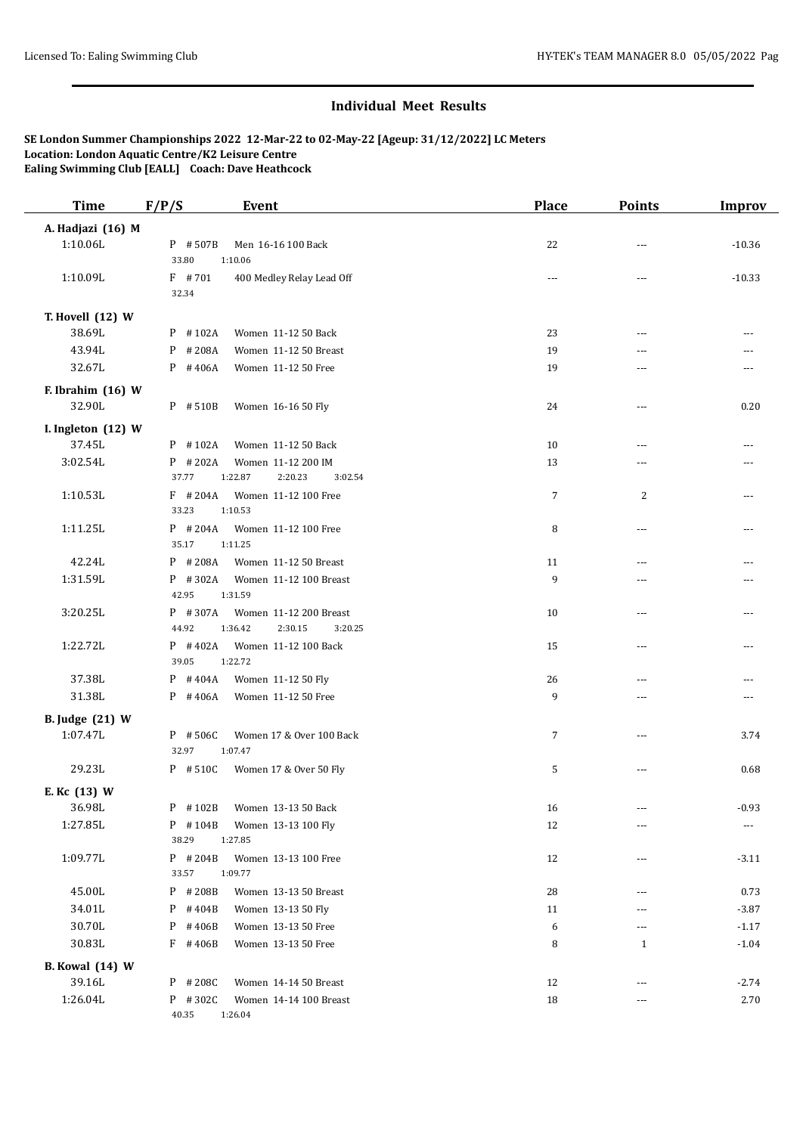| <b>Time</b>                        | F/P/S              | <b>Event</b>                                 | <b>Place</b>   | <b>Points</b>        | <b>Improv</b> |
|------------------------------------|--------------------|----------------------------------------------|----------------|----------------------|---------------|
| A. Hadjazi (16) M                  |                    |                                              |                |                      |               |
| 1:10.06L                           | $P$ #507B          | Men 16-16 100 Back                           | 22             | ---                  | $-10.36$      |
|                                    | 33.80              | 1:10.06                                      |                |                      |               |
| 1:10.09L                           | $F$ #701           | 400 Medley Relay Lead Off                    | $\sim$         | $\overline{a}$       | $-10.33$      |
|                                    | 32.34              |                                              |                |                      |               |
| T. Hovell (12) W                   |                    |                                              |                |                      |               |
| 38.69L                             | $P$ #102A          | Women 11-12 50 Back                          | 23             | $\overline{a}$       |               |
| 43.94L                             | $P$ # 208A         | Women 11-12 50 Breast                        | 19             | $\overline{a}$       |               |
| 32.67L                             | $P$ #406A          | Women 11-12 50 Free                          | 19             | $\overline{a}$       | ---           |
| F. Ibrahim (16) W                  |                    |                                              |                |                      |               |
| 32.90L                             | P #510B            | Women 16-16 50 Fly                           | 24             | $\overline{a}$       | 0.20          |
| I. Ingleton (12) W                 |                    |                                              |                |                      |               |
| 37.45L                             | P #102A            | Women 11-12 50 Back                          | 10             | ---                  |               |
| 3:02.54L                           | $P$ # 202A         | Women 11-12 200 IM                           | 13             | ---                  |               |
|                                    | 37.77              | 1:22.87<br>2:20.23<br>3:02.54                |                |                      |               |
| 1:10.53L                           | $F$ #204A          | Women 11-12 100 Free                         | $\overline{7}$ | 2                    |               |
|                                    | 33.23              | 1:10.53                                      |                |                      |               |
| 1:11.25L                           | $P$ #204A          | Women 11-12 100 Free                         | 8              | ---                  |               |
|                                    | 35.17              | 1:11.25                                      |                |                      |               |
| 42.24L                             | $P$ #208A          | Women 11-12 50 Breast                        | 11             | ---                  |               |
| 1:31.59L                           | $P$ #302A          | Women 11-12 100 Breast                       | 9              | ---                  |               |
|                                    | 42.95              | 1:31.59                                      |                |                      |               |
| 3:20.25L                           | $P$ #307A<br>44.92 | Women 11-12 200 Breast<br>1:36.42<br>2:30.15 | 10             | ---                  |               |
| 1:22.72L                           | $P$ #402A          | 3:20.25                                      | 15             | $\overline{a}$       |               |
|                                    | 39.05              | Women 11-12 100 Back<br>1:22.72              |                |                      | ---           |
| 37.38L                             | $P$ #404A          | Women 11-12 50 Fly                           | 26             | ---                  |               |
| 31.38L                             | $P$ #406A          | Women 11-12 50 Free                          | 9              | $\overline{a}$       | ---           |
|                                    |                    |                                              |                |                      |               |
| <b>B.</b> Judge (21) W<br>1:07.47L | P #506C            | Women 17 & Over 100 Back                     | $\overline{7}$ | $\overline{a}$       | 3.74          |
|                                    | 32.97              | 1:07.47                                      |                |                      |               |
| 29.23L                             | P #510C            | Women 17 & Over 50 Fly                       | 5              | ---                  | 0.68          |
|                                    |                    |                                              |                |                      |               |
| E. Kc (13) W                       |                    |                                              |                |                      |               |
| 36.98L<br>1:27.85L                 | $P$ #102B          | Women 13-13 50 Back                          | 16             |                      | $-0.93$       |
|                                    | P #104B<br>38.29   | Women 13-13 100 Fly<br>1:27.85               | 12             | ---                  |               |
| 1:09.77L                           | $P$ # 204B         | Women 13-13 100 Free                         | 12             | ---                  | $-3.11$       |
|                                    | 33.57              | 1:09.77                                      |                |                      |               |
| 45.00L                             | P #208B            | Women 13-13 50 Breast                        | 28             | $\cdots$             | 0.73          |
| 34.01L                             | $P$ # 404B         | Women 13-13 50 Fly                           | 11             | ---                  | $-3.87$       |
| 30.70L                             | $P$ #406B          | Women 13-13 50 Free                          | 6              | ---                  | $-1.17$       |
| 30.83L                             | $F$ #406B          | Women 13-13 50 Free                          | 8              | $\mathbf{1}$         | $-1.04$       |
| <b>B.</b> Kowal (14) W             |                    |                                              |                |                      |               |
| 39.16L                             | P #208C            | Women 14-14 50 Breast                        | 12             | $\scriptstyle\cdots$ | $-2.74$       |
| 1:26.04L                           | P #302C            | Women 14-14 100 Breast                       | 18             | ---                  | 2.70          |
|                                    | 40.35              | 1:26.04                                      |                |                      |               |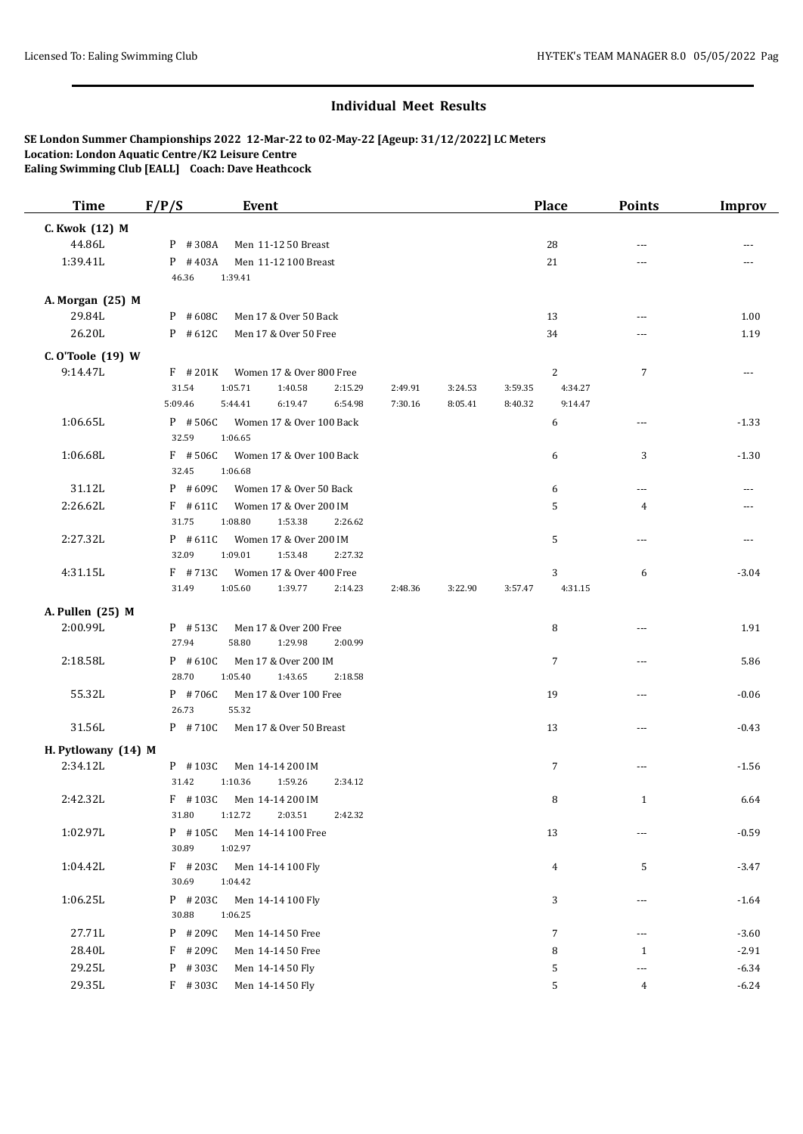| C. Kwok (12) M<br>44.86L<br>P #308A<br>Men 11-12 50 Breast<br>28<br>$\sim$ $\sim$<br>1:39.41L<br>$P$ #403A<br>Men 11-12 100 Breast<br>21<br>$- - -$<br>46.36<br>1:39.41<br>A. Morgan (25) M<br>29.84L<br>13<br>$P$ #608C<br>Men 17 & Over 50 Back<br>$---$<br>26.20L<br>$P$ # 612C<br>Men 17 & Over 50 Free<br>34<br>---<br>C. O'Toole (19) W<br>9:14.47L<br>$\overline{c}$<br>$\overline{7}$<br>$F$ # 201K<br>Women 17 & Over 800 Free<br>31.54<br>1:05.71<br>1:40.58<br>2:15.29<br>2:49.91<br>3:24.53<br>3:59.35<br>4:34.27<br>5:09.46<br>5:44.41<br>6:19.47<br>6:54.98<br>7:30.16<br>8:05.41<br>8:40.32<br>9:14.47<br>1:06.65L<br>$P$ # 506C<br>Women 17 & Over 100 Back<br>6<br>$---$<br>32.59<br>1:06.65 | <b>Improv</b> |
|---------------------------------------------------------------------------------------------------------------------------------------------------------------------------------------------------------------------------------------------------------------------------------------------------------------------------------------------------------------------------------------------------------------------------------------------------------------------------------------------------------------------------------------------------------------------------------------------------------------------------------------------------------------------------------------------------------------|---------------|
|                                                                                                                                                                                                                                                                                                                                                                                                                                                                                                                                                                                                                                                                                                               |               |
|                                                                                                                                                                                                                                                                                                                                                                                                                                                                                                                                                                                                                                                                                                               |               |
|                                                                                                                                                                                                                                                                                                                                                                                                                                                                                                                                                                                                                                                                                                               |               |
|                                                                                                                                                                                                                                                                                                                                                                                                                                                                                                                                                                                                                                                                                                               |               |
|                                                                                                                                                                                                                                                                                                                                                                                                                                                                                                                                                                                                                                                                                                               |               |
|                                                                                                                                                                                                                                                                                                                                                                                                                                                                                                                                                                                                                                                                                                               | 1.00          |
|                                                                                                                                                                                                                                                                                                                                                                                                                                                                                                                                                                                                                                                                                                               | 1.19          |
|                                                                                                                                                                                                                                                                                                                                                                                                                                                                                                                                                                                                                                                                                                               |               |
|                                                                                                                                                                                                                                                                                                                                                                                                                                                                                                                                                                                                                                                                                                               | ---           |
|                                                                                                                                                                                                                                                                                                                                                                                                                                                                                                                                                                                                                                                                                                               |               |
|                                                                                                                                                                                                                                                                                                                                                                                                                                                                                                                                                                                                                                                                                                               |               |
|                                                                                                                                                                                                                                                                                                                                                                                                                                                                                                                                                                                                                                                                                                               | $-1.33$       |
| 1:06.68L<br>$F$ #506C<br>Women 17 & Over 100 Back<br>6<br>3<br>32.45<br>1:06.68                                                                                                                                                                                                                                                                                                                                                                                                                                                                                                                                                                                                                               | $-1.30$       |
| 31.12L<br>$P$ #609C<br>Women 17 & Over 50 Back<br>6<br>$\cdots$                                                                                                                                                                                                                                                                                                                                                                                                                                                                                                                                                                                                                                               | ---           |
| 2:26.62L<br>$F$ #611C<br>Women 17 & Over 200 IM<br>5<br>4                                                                                                                                                                                                                                                                                                                                                                                                                                                                                                                                                                                                                                                     |               |
| 31.75<br>1:08.80<br>1:53.38<br>2:26.62                                                                                                                                                                                                                                                                                                                                                                                                                                                                                                                                                                                                                                                                        |               |
| 2:27.32L<br>$P$ #611C<br>Women 17 & Over 200 IM<br>5<br>---                                                                                                                                                                                                                                                                                                                                                                                                                                                                                                                                                                                                                                                   | ---           |
| 32.09<br>1:09.01<br>1:53.48<br>2:27.32                                                                                                                                                                                                                                                                                                                                                                                                                                                                                                                                                                                                                                                                        |               |
| 4:31.15L<br>Women 17 & Over 400 Free<br>$F$ #713C<br>3<br>6<br>4:31.15<br>31.49<br>1:05.60<br>1:39.77<br>2:14.23<br>2:48.36<br>3:22.90<br>3:57.47                                                                                                                                                                                                                                                                                                                                                                                                                                                                                                                                                             | $-3.04$       |
| A. Pullen (25) M                                                                                                                                                                                                                                                                                                                                                                                                                                                                                                                                                                                                                                                                                              |               |
| 2:00.99L<br>$P$ # 513C<br>8<br>Men 17 & Over 200 Free<br>---<br>27.94<br>58.80<br>1:29.98<br>2:00.99                                                                                                                                                                                                                                                                                                                                                                                                                                                                                                                                                                                                          | 1.91          |
| 2:18.58L<br>$P$ #610C<br>7<br>Men 17 & Over 200 IM<br>$\cdots$<br>28.70<br>1:05.40<br>1:43.65<br>2:18.58                                                                                                                                                                                                                                                                                                                                                                                                                                                                                                                                                                                                      | 5.86          |
| 55.32L<br>P #706C<br>Men 17 & Over 100 Free<br>19<br>---<br>26.73<br>55.32                                                                                                                                                                                                                                                                                                                                                                                                                                                                                                                                                                                                                                    | $-0.06$       |
| 31.56L<br>P #710C<br>13<br>Men 17 & Over 50 Breast<br>$\cdots$                                                                                                                                                                                                                                                                                                                                                                                                                                                                                                                                                                                                                                                | $-0.43$       |
| H. Pytlowany (14) M                                                                                                                                                                                                                                                                                                                                                                                                                                                                                                                                                                                                                                                                                           |               |
| 2:34.12L<br>$P$ #103C<br>Men 14-14 200 IM<br>7<br>$\cdots$<br>31.42<br>1:10.36<br>1:59.26<br>2:34.12                                                                                                                                                                                                                                                                                                                                                                                                                                                                                                                                                                                                          | $-1.56$       |
| 2:42.32L<br>F #103C Men 14-14 200 IM<br>8<br>1<br>31.80<br>1:12.72<br>2:03.51<br>2:42.32                                                                                                                                                                                                                                                                                                                                                                                                                                                                                                                                                                                                                      | 6.64          |
| 1:02.97L<br>P #105C<br>13<br>Men 14-14 100 Free<br>---<br>30.89<br>1:02.97                                                                                                                                                                                                                                                                                                                                                                                                                                                                                                                                                                                                                                    | $-0.59$       |
| 1:04.42L<br>$F$ # 203C<br>5<br>Men 14-14 100 Fly<br>4<br>30.69<br>1:04.42                                                                                                                                                                                                                                                                                                                                                                                                                                                                                                                                                                                                                                     | $-3.47$       |
| 1:06.25L<br>$P$ # 203C<br>3<br>Men 14-14 100 Fly<br>---<br>30.88<br>1:06.25                                                                                                                                                                                                                                                                                                                                                                                                                                                                                                                                                                                                                                   | $-1.64$       |
| 27.71L<br>P #209C<br>$\overline{7}$<br>Men 14-14 50 Free<br>---                                                                                                                                                                                                                                                                                                                                                                                                                                                                                                                                                                                                                                               | $-3.60$       |
| 28.40L<br>$F$ # 209C<br>8<br>Men 14-14 50 Free<br>$\mathbf{1}$                                                                                                                                                                                                                                                                                                                                                                                                                                                                                                                                                                                                                                                | $-2.91$       |
| 29.25L<br>P #303C<br>Men 14-14 50 Fly<br>5<br>---                                                                                                                                                                                                                                                                                                                                                                                                                                                                                                                                                                                                                                                             | $-6.34$       |
| 29.35L<br>$F$ #303C<br>Men 14-14 50 Fly<br>5<br>4                                                                                                                                                                                                                                                                                                                                                                                                                                                                                                                                                                                                                                                             | $-6.24$       |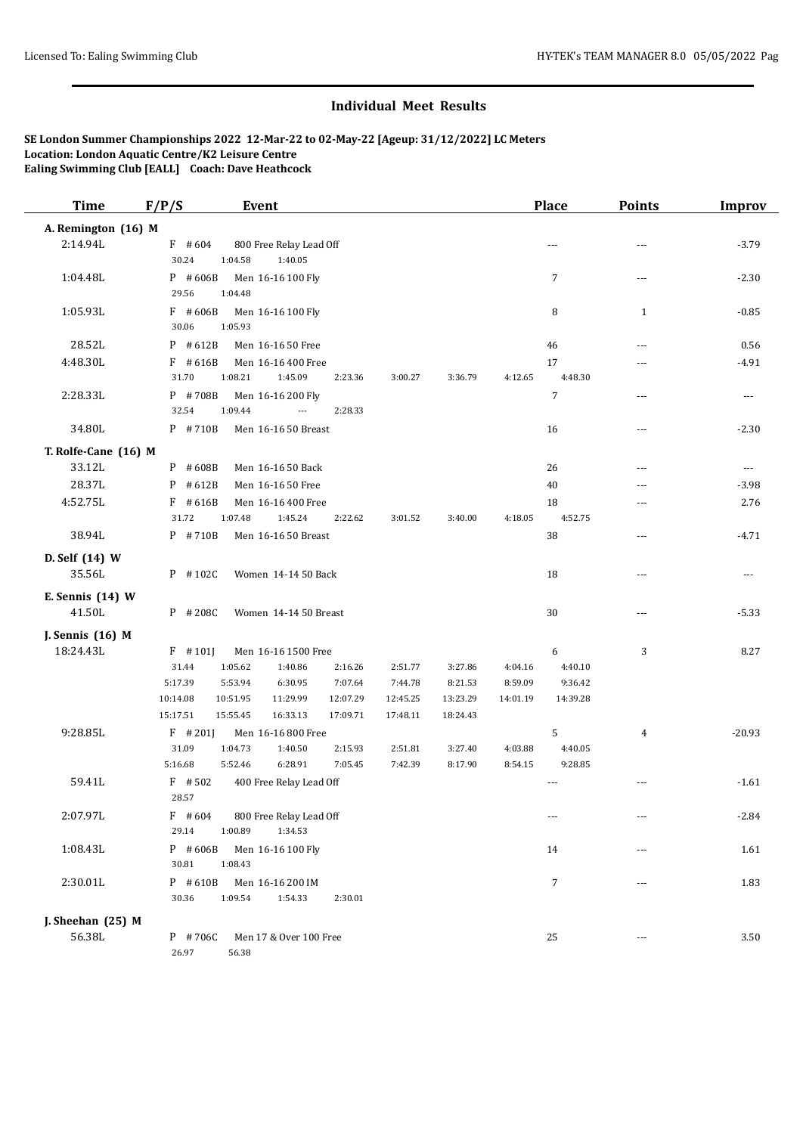| <b>Time</b>          | F/P/S              | <b>Event</b>                             |                    |                    |                    |                    | Place              | <b>Points</b> | <b>Improv</b>            |
|----------------------|--------------------|------------------------------------------|--------------------|--------------------|--------------------|--------------------|--------------------|---------------|--------------------------|
| A. Remington (16) M  |                    |                                          |                    |                    |                    |                    |                    |               |                          |
| 2:14.94L             | $F$ #604           | 800 Free Relay Lead Off                  |                    |                    |                    |                    | ---                | ---           | $-3.79$                  |
|                      | 30.24              | 1:40.05<br>1:04.58                       |                    |                    |                    |                    |                    |               |                          |
| 1:04.48L             | $P$ #606B<br>29.56 | Men 16-16 100 Fly<br>1:04.48             |                    |                    |                    |                    | $\overline{7}$     | ---           | $-2.30$                  |
| 1:05.93L             | $F$ #606B          | Men 16-16 100 Fly                        |                    |                    |                    |                    | 8                  | $\mathbf{1}$  | $-0.85$                  |
|                      | 30.06              | 1:05.93                                  |                    |                    |                    |                    |                    |               |                          |
| 28.52L               | $P$ #612B          | Men 16-16 50 Free                        |                    |                    |                    |                    | 46                 | ---           | 0.56                     |
| 4:48.30L             | $F$ # 616B         | Men 16-16 400 Free                       |                    |                    |                    |                    | 17                 | ---           | $-4.91$                  |
|                      | 31.70              | 1:08.21<br>1:45.09                       | 2:23.36            | 3:00.27            | 3:36.79            | 4:12.65            | 4:48.30            |               |                          |
| 2:28.33L             | P #708B            | Men 16-16 200 Fly                        |                    |                    |                    |                    | $\overline{7}$     | ---           | ---                      |
|                      | 32.54              | 1:09.44<br>---                           | 2:28.33            |                    |                    |                    |                    |               |                          |
| 34.80L               | $P$ #710B          | Men 16-16 50 Breast                      |                    |                    |                    |                    | 16                 | ---           | $-2.30$                  |
| T. Rolfe-Cane (16) M |                    |                                          |                    |                    |                    |                    |                    |               |                          |
| 33.12L               | $P$ #608B          | Men 16-16 50 Back                        |                    |                    |                    |                    | 26                 | ---           | $\overline{\phantom{a}}$ |
| 28.37L               | $P$ #612B          | Men 16-16 50 Free                        |                    |                    |                    |                    | 40                 | ---           | $-3.98$                  |
| 4:52.75L             | $F$ #616B          | Men 16-16 400 Free                       |                    |                    |                    |                    | 18                 | ---           | 2.76                     |
|                      | 31.72              | 1:07.48<br>1:45.24                       | 2:22.62            | 3:01.52            | 3:40.00            | 4:18.05            | 4:52.75            |               |                          |
| 38.94L               | $P$ #710B          | Men 16-16 50 Breast                      |                    |                    |                    |                    | 38                 | ---           | $-4.71$                  |
| D. Self (14) W       |                    |                                          |                    |                    |                    |                    |                    |               |                          |
| 35.56L               | P #102C            | Women 14-14 50 Back                      |                    |                    |                    |                    | 18                 | ---           | ---                      |
| E. Sennis (14) W     |                    |                                          |                    |                    |                    |                    |                    |               |                          |
| 41.50L               | $P$ # 208C         | Women 14-14 50 Breast                    |                    |                    |                    |                    | 30                 | ---           | $-5.33$                  |
| J. Sennis (16) M     |                    |                                          |                    |                    |                    |                    |                    |               |                          |
| 18:24.43L            | $F$ #101]          | Men 16-16 1500 Free                      |                    |                    |                    |                    | 6                  | 3             | 8.27                     |
|                      | 31.44              | 1:05.62<br>1:40.86                       | 2:16.26            | 2:51.77            | 3:27.86            | 4:04.16            | 4:40.10            |               |                          |
|                      | 5:17.39            | 5:53.94<br>6:30.95                       | 7:07.64            | 7:44.78            | 8:21.53            | 8:59.09            | 9:36.42            |               |                          |
|                      | 10:14.08           | 10:51.95<br>11:29.99                     | 12:07.29           | 12:45.25           | 13:23.29           | 14:01.19           | 14:39.28           |               |                          |
|                      | 15:17.51           | 15:55.45<br>16:33.13                     | 17:09.71           | 17:48.11           | 18:24.43           |                    |                    |               |                          |
| 9:28.85L             | $F$ # 201J         | Men 16-16 800 Free                       |                    |                    |                    |                    | 5                  | 4             | $-20.93$                 |
|                      | 31.09<br>5:16.68   | 1:04.73<br>1:40.50<br>5:52.46<br>6:28.91 | 2:15.93<br>7:05.45 | 2:51.81<br>7:42.39 | 3:27.40<br>8:17.90 | 4:03.88<br>8:54.15 | 4:40.05<br>9:28.85 |               |                          |
| 59.41L               | $F$ #502           | 400 Free Relay Lead Off                  |                    |                    |                    |                    |                    |               | $-1.61$                  |
|                      | 28.57              |                                          |                    |                    |                    |                    |                    |               |                          |
| 2:07.97L             | $F$ #604           | 800 Free Relay Lead Off                  |                    |                    |                    |                    | $\cdots$           | ---           | $-2.84$                  |
|                      | 29.14              | 1:00.89<br>1:34.53                       |                    |                    |                    |                    |                    |               |                          |
| 1:08.43L             | $P$ #606B          | Men 16-16 100 Fly                        |                    |                    |                    |                    | 14                 | ---           | 1.61                     |
|                      | 30.81              | 1:08.43                                  |                    |                    |                    |                    |                    |               |                          |
| 2:30.01L             | $P$ #610B          | Men 16-16 200 IM                         |                    |                    |                    |                    | 7                  | ---           | 1.83                     |
|                      | 30.36              | 1:09.54<br>1:54.33                       | 2:30.01            |                    |                    |                    |                    |               |                          |
| J. Sheehan $(25)$ M  |                    |                                          |                    |                    |                    |                    |                    |               |                          |
| 56.38L               | P #706C            | Men 17 & Over 100 Free                   |                    |                    |                    |                    | 25                 | ---           | 3.50                     |
|                      | 26.97              | 56.38                                    |                    |                    |                    |                    |                    |               |                          |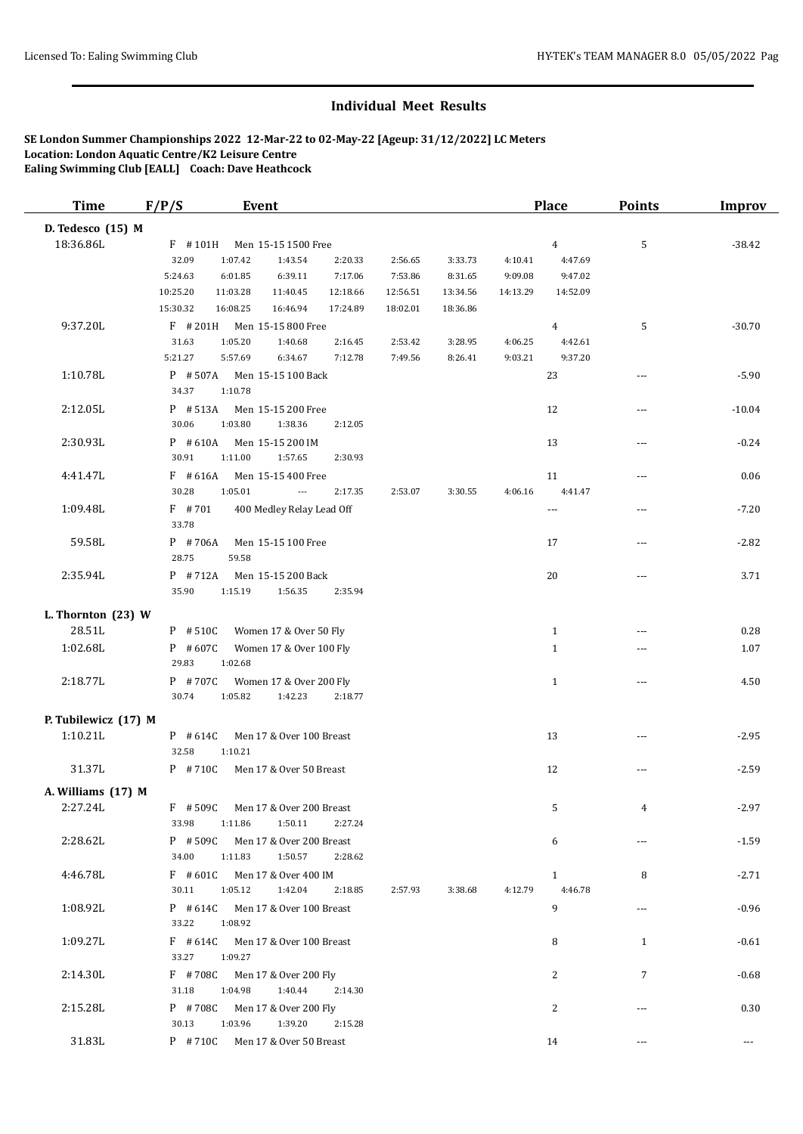| D. Tedesco (15) M<br>18:36.86L<br>5<br>F #101H<br>$\overline{4}$<br>Men 15-15 1500 Free<br>32.09<br>1:07.42<br>1:43.54<br>2:20.33<br>2:56.65<br>3:33.73<br>4:10.41<br>4:47.69<br>5:24.63<br>6:01.85<br>6:39.11<br>7:17.06<br>7:53.86<br>8:31.65<br>9:09.08<br>9.47.02<br>10:25.20<br>11:03.28<br>11:40.45<br>12:18.66<br>12:56.51<br>13:34.56<br>14:52.09<br>14:13.29<br>15:30.32<br>16:08.25<br>17:24.89<br>18:02.01<br>18:36.86<br>16:46.94 | $-38.42$<br>$-30.70$<br>$-5.90$ |
|-----------------------------------------------------------------------------------------------------------------------------------------------------------------------------------------------------------------------------------------------------------------------------------------------------------------------------------------------------------------------------------------------------------------------------------------------|---------------------------------|
|                                                                                                                                                                                                                                                                                                                                                                                                                                               |                                 |
|                                                                                                                                                                                                                                                                                                                                                                                                                                               |                                 |
|                                                                                                                                                                                                                                                                                                                                                                                                                                               |                                 |
|                                                                                                                                                                                                                                                                                                                                                                                                                                               |                                 |
|                                                                                                                                                                                                                                                                                                                                                                                                                                               |                                 |
|                                                                                                                                                                                                                                                                                                                                                                                                                                               |                                 |
| 9:37.20L<br>$F$ # 201H<br>5<br>Men 15-15 800 Free<br>4                                                                                                                                                                                                                                                                                                                                                                                        |                                 |
| 31.63<br>1:05.20<br>1:40.68<br>2:16.45<br>2:53.42<br>3:28.95<br>4:06.25<br>4:42.61                                                                                                                                                                                                                                                                                                                                                            |                                 |
| 9:37.20<br>5:21.27<br>5:57.69<br>6:34.67<br>7:12.78<br>7:49.56<br>8:26.41<br>9:03.21                                                                                                                                                                                                                                                                                                                                                          |                                 |
| 1:10.78L<br>$P$ #507A<br>23<br>Men 15-15 100 Back<br>---<br>34.37<br>1:10.78                                                                                                                                                                                                                                                                                                                                                                  |                                 |
| 2:12.05L<br>$P$ # 513A<br>Men 15-15 200 Free<br>12<br>---                                                                                                                                                                                                                                                                                                                                                                                     | $-10.04$                        |
| 30.06<br>1:03.80<br>1:38.36<br>2:12.05                                                                                                                                                                                                                                                                                                                                                                                                        |                                 |
| 2:30.93L<br>$P$ #610A<br>Men 15-15 200 IM<br>13<br>---                                                                                                                                                                                                                                                                                                                                                                                        | $-0.24$                         |
| 30.91<br>1:11.00<br>1:57.65<br>2:30.93                                                                                                                                                                                                                                                                                                                                                                                                        |                                 |
| 4:41.47L<br>$F$ #616A<br>Men 15-15 400 Free<br>11<br>---                                                                                                                                                                                                                                                                                                                                                                                      | 0.06                            |
| 30.28<br>1:05.01<br>2:17.35<br>2:53.07<br>3:30.55<br>4:06.16<br>4.41.47<br>$\overline{\phantom{a}}$                                                                                                                                                                                                                                                                                                                                           |                                 |
| 1:09.48L<br>$F$ #701<br>400 Medley Relay Lead Off<br>$\overline{\phantom{a}}$<br>---                                                                                                                                                                                                                                                                                                                                                          | $-7.20$                         |
| 33.78                                                                                                                                                                                                                                                                                                                                                                                                                                         |                                 |
| 59.58L<br>$P$ #706A<br>Men 15-15 100 Free<br>17<br>---                                                                                                                                                                                                                                                                                                                                                                                        | $-2.82$                         |
| 28.75<br>59.58                                                                                                                                                                                                                                                                                                                                                                                                                                |                                 |
| 2:35.94L<br>$P$ #712A<br>Men 15-15 200 Back<br>20<br>---                                                                                                                                                                                                                                                                                                                                                                                      | 3.71                            |
| 35.90<br>1:15.19<br>1:56.35<br>2:35.94                                                                                                                                                                                                                                                                                                                                                                                                        |                                 |
| L. Thornton $(23)$ W                                                                                                                                                                                                                                                                                                                                                                                                                          |                                 |
| 28.51L<br>P #510C<br>Women 17 & Over 50 Fly<br>$\mathbf{1}$                                                                                                                                                                                                                                                                                                                                                                                   | 0.28                            |
| 1:02.68L<br>$P$ #607C<br>$\mathbf{1}$<br>Women 17 & Over 100 Fly<br>---                                                                                                                                                                                                                                                                                                                                                                       | 1.07                            |
| 29.83<br>1:02.68                                                                                                                                                                                                                                                                                                                                                                                                                              |                                 |
| 2:18.77L<br>P #707C<br>Women 17 & Over 200 Fly<br>$\mathbf{1}$<br>---                                                                                                                                                                                                                                                                                                                                                                         | 4.50                            |
| 30.74<br>1:05.82<br>1:42.23<br>2:18.77                                                                                                                                                                                                                                                                                                                                                                                                        |                                 |
| P. Tubilewicz (17) M                                                                                                                                                                                                                                                                                                                                                                                                                          |                                 |
| 1:10.21L<br>Men 17 & Over 100 Breast<br>13<br>$P$ # 614C<br>---                                                                                                                                                                                                                                                                                                                                                                               | $-2.95$                         |
| 32.58<br>1:10.21                                                                                                                                                                                                                                                                                                                                                                                                                              |                                 |
| 31.37L<br>P #710C<br>Men 17 & Over 50 Breast<br>12<br>---                                                                                                                                                                                                                                                                                                                                                                                     | $-2.59$                         |
|                                                                                                                                                                                                                                                                                                                                                                                                                                               |                                 |
| A. Williams (17) M<br>2:27.24L<br>$F$ #509C<br>Men 17 & Over 200 Breast<br>5<br>4                                                                                                                                                                                                                                                                                                                                                             | $-2.97$                         |
| 33.98<br>1:50.11<br>1:11.86<br>2:27.24                                                                                                                                                                                                                                                                                                                                                                                                        |                                 |
| 2:28.62L<br>$P$ # 509C<br>Men 17 & Over 200 Breast<br>6<br>---                                                                                                                                                                                                                                                                                                                                                                                | $-1.59$                         |
| 34.00<br>1:11.83<br>1:50.57<br>2:28.62                                                                                                                                                                                                                                                                                                                                                                                                        |                                 |
| 4:46.78L<br>$\mathbf{1}$<br>$F$ #601C<br>Men 17 & Over 400 IM<br>8                                                                                                                                                                                                                                                                                                                                                                            | $-2.71$                         |
| 30.11<br>1:05.12<br>4:12.79<br>4:46.78<br>1:42.04<br>2:18.85<br>2:57.93<br>3:38.68                                                                                                                                                                                                                                                                                                                                                            |                                 |
| 1:08.92L<br>9<br>$P$ # 614C<br>Men 17 & Over 100 Breast<br>---                                                                                                                                                                                                                                                                                                                                                                                | $-0.96$                         |
| 33.22<br>1:08.92                                                                                                                                                                                                                                                                                                                                                                                                                              |                                 |
| 1:09.27L<br>$F$ #614C<br>Men 17 & Over 100 Breast<br>8<br>1                                                                                                                                                                                                                                                                                                                                                                                   | $-0.61$                         |
| 33.27<br>1:09.27                                                                                                                                                                                                                                                                                                                                                                                                                              |                                 |
| 2:14.30L<br>F #708C<br>Men 17 & Over 200 Fly<br>2<br>7                                                                                                                                                                                                                                                                                                                                                                                        | $-0.68$                         |
| 31.18<br>1:04.98<br>1:40.44<br>2:14.30                                                                                                                                                                                                                                                                                                                                                                                                        |                                 |
| 2:15.28L<br>P #708C<br>2<br>Men 17 & Over 200 Fly<br>---                                                                                                                                                                                                                                                                                                                                                                                      | 0.30                            |
| 1:03.96<br>1:39.20<br>30.13<br>2:15.28                                                                                                                                                                                                                                                                                                                                                                                                        |                                 |
| 31.83L<br>P #710C<br>14<br>Men 17 & Over 50 Breast<br>---                                                                                                                                                                                                                                                                                                                                                                                     | $\cdots$                        |